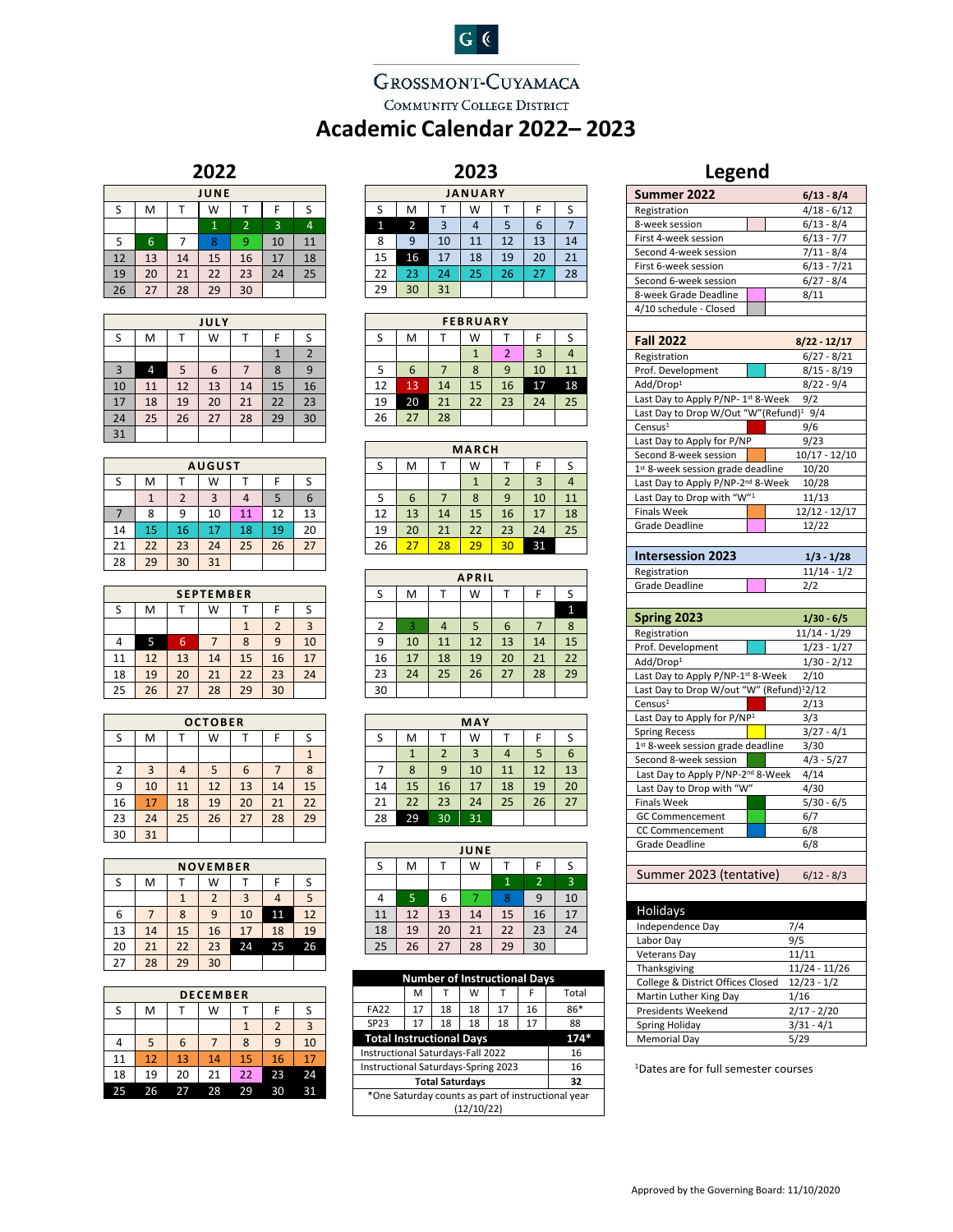# $G$   $C$

## GROSSMONT-CUYAMACA COMMUNITY COLLEGE DISTRICT **Academic Calendar 2022– 2023**

### **2022**

| . .<br>--<br>-- |    |    |              |                |    |    |  |  |
|-----------------|----|----|--------------|----------------|----|----|--|--|
| JUNE            |    |    |              |                |    |    |  |  |
| S               | M  |    | W            |                | F  | S  |  |  |
|                 |    |    | $\mathbf{1}$ | $\overline{2}$ | 3  | 4  |  |  |
| 5               | 6  |    | 8            | 9              | 10 | 11 |  |  |
| 12              | 13 | 14 | 15           | 16             | 17 | 18 |  |  |
| 19              | 20 | 21 | 22           | 23             | 24 | 25 |  |  |
| 26              | 27 | 28 | 29           | 30             |    |    |  |  |

| JULY |    |    |    |    |    |                |  |
|------|----|----|----|----|----|----------------|--|
| S    | M  |    | W  |    | F  | S              |  |
|      |    |    |    |    |    | $\overline{2}$ |  |
| 3    | 4  | 5  | 6  | 7  | 8  | 9              |  |
| 10   | 11 | 12 | 13 | 14 | 15 | 16             |  |
| 17   | 18 | 19 | 20 | 21 | 22 | 23             |  |
| 24   | 25 | 26 | 27 | 28 | 29 | 30             |  |
| 31   |    |    |    |    |    |                |  |

|    | <b>AUGUST</b> |                |    |    |    |    |  |  |
|----|---------------|----------------|----|----|----|----|--|--|
| S  | M             |                | W  |    |    |    |  |  |
|    |               | $\overline{2}$ | 3  |    | 5  | 6  |  |  |
|    | 8             | 9              | 10 | 11 | 12 | 13 |  |  |
| 14 | 15            | 16             | 17 | 18 | 19 | 20 |  |  |
| 21 | 22            | 23             | 24 | 25 | 26 | 27 |  |  |
| 28 | 29            | 30             | 31 |    |    |    |  |  |

|    |    |    | <b>SEPTEMBER</b> |    |    |    |
|----|----|----|------------------|----|----|----|
| S  | M  |    | W                |    | F  |    |
|    |    |    |                  |    | 2  |    |
|    | 5  | 6  |                  | 8  | q  | 10 |
| 11 | 12 | 13 | 14               | 15 | 16 | 17 |
| 18 | 19 | 20 | 21               | 22 | 23 | 24 |
| 25 | 26 | 27 | 28               | 29 | 30 |    |

| <b>OCTOBER</b> |                |    |    |    |    |    |  |
|----------------|----------------|----|----|----|----|----|--|
| S              | M              |    | W  |    | F  | S  |  |
|                |                |    |    |    |    |    |  |
| 2              | $\overline{3}$ |    | 5  | 6  |    | 8  |  |
| 9              | 10             | 11 | 12 | 13 | 14 | 15 |  |
| 16             | 17             | 18 | 19 | 20 | 21 | 22 |  |
| 23             | 24             | 25 | 26 | 27 | 28 | 29 |  |
| 30             | 31             |    |    |    |    |    |  |

|    | <b>NOVEMBER</b> |    |    |    |    |    |  |  |
|----|-----------------|----|----|----|----|----|--|--|
| S  | M               |    | W  |    |    |    |  |  |
|    |                 |    | 2  | 3  |    |    |  |  |
| 6  |                 | 8  | 9  | 10 | 11 | 12 |  |  |
| 13 | 14              | 15 | 16 | 17 | 18 | 19 |  |  |
| 20 | 21              | 22 | 23 | 24 | 25 | 26 |  |  |
| 27 | 28              | 29 | 30 |    |    |    |  |  |

| <b>DECEMBER</b> |    |    |    |    |                |    |  |
|-----------------|----|----|----|----|----------------|----|--|
| S               | M  |    | W  |    |                | S  |  |
|                 |    |    |    | 1  | $\overline{2}$ | 3  |  |
|                 | 5  | 6  |    | 8  | 9              | 10 |  |
| 11              | 12 | 13 | 14 | 15 | 16             | 17 |  |
| 18              | 19 | 20 | 21 | 22 | 23             | 24 |  |
| 25              | 26 | 27 | 28 | 29 | 30             | 31 |  |

| 2023           |                |                |    |    |    |    |  |  |
|----------------|----------------|----------------|----|----|----|----|--|--|
| <b>JANUARY</b> |                |                |    |    |    |    |  |  |
| S              | M              |                | W  |    | F  | S  |  |  |
| 1              | $\overline{2}$ | $\overline{3}$ | 4  | 5  | 6  |    |  |  |
| 8              | 9              | 10             | 11 | 12 | 13 | 14 |  |  |
| 15             | 16             | 17             | 18 | 19 | 20 | 21 |  |  |
| 22             | 23             | 24             | 25 | 26 | 27 | 28 |  |  |
| 29             | 30             | 31             |    |    |    |    |  |  |

| <b>FEBRUARY</b> |    |    |    |    |    |    |  |
|-----------------|----|----|----|----|----|----|--|
| S               | M  |    | W  |    | F  |    |  |
|                 |    |    |    | 2  | 3  |    |  |
| 5               | 6  |    | 8  | 9  | 10 | 11 |  |
| 12              | 13 | 14 | 15 | 16 | 17 | 18 |  |
| 19              | 20 | 21 | 22 | 23 | 24 | 25 |  |
| 26              | 27 | 28 |    |    |    |    |  |

| <b>MARCH</b> |    |             |    |                |    |    |  |  |
|--------------|----|-------------|----|----------------|----|----|--|--|
| S            | М  | W<br>S<br>F |    |                |    |    |  |  |
|              |    |             |    | $\overline{2}$ | 3  |    |  |  |
| 5            | 6  |             | 8  | 9              | 10 | 11 |  |  |
| 12           | 13 | 14          | 15 | 16             | 17 | 18 |  |  |
| 19           | 20 | 21          | 22 | 23             | 24 | 25 |  |  |
| 26           | 27 | 28          | 29 | 30             | 31 |    |  |  |

| <b>APRIL</b>   |    |    |    |    |    |    |  |
|----------------|----|----|----|----|----|----|--|
| S              | M  |    | W  |    | F  | S  |  |
|                |    |    |    |    |    | 1  |  |
| $\overline{2}$ | 3  | 4  | 5  | 6  | 7  | 8  |  |
| 9              | 10 | 11 | 12 | 13 | 14 | 15 |  |
| 16             | 17 | 18 | 19 | 20 | 21 | 22 |  |
| 23             | 24 | 25 | 26 | 27 | 28 | 29 |  |
| 30             |    |    |    |    |    |    |  |

| MAY |    |                |    |    |    |    |  |  |  |
|-----|----|----------------|----|----|----|----|--|--|--|
| S   | М  |                | W  |    | F  | S  |  |  |  |
|     |    | $\overline{2}$ | 3  | 4  | 5  | 6  |  |  |  |
|     | 8  | 9              | 10 | 11 | 12 | 13 |  |  |  |
| 14  | 15 | 16             | 17 | 18 | 19 | 20 |  |  |  |
| 21  | 22 | 23             | 24 | 25 | 26 | 27 |  |  |  |
| 28  | 29 | 30             | 31 |    |    |    |  |  |  |

| JUNE |    |    |    |              |                |                |
|------|----|----|----|--------------|----------------|----------------|
| S    | M  | T  | W  |              | F              | S              |
|      |    |    |    | $\mathbf{1}$ | $\overline{2}$ | $\overline{3}$ |
|      | 5  | 6  |    | 8            | 9              | 10             |
| 11   | 12 | 13 | 14 | 15           | 16             | 17             |
| 18   | 19 | 20 | 21 | 22           | 23             | 24             |
| 25   | 26 | 27 | 28 | 29           | 30             |                |

| <b>Number of Instructional Days</b>                |    |    |    |    |    |       |
|----------------------------------------------------|----|----|----|----|----|-------|
|                                                    | M  |    | W  |    | F  | Total |
| <b>FA22</b>                                        | 17 | 18 | 18 | 17 | 16 | 86*   |
| <b>SP23</b>                                        | 17 | 18 | 18 | 18 | 17 | 88    |
| <b>Total Instructional Days</b><br>$174*$          |    |    |    |    |    |       |
| Instructional Saturdays-Fall 2022<br>16            |    |    |    |    |    |       |
| Instructional Saturdays-Spring 2023<br>16          |    |    |    |    |    |       |
| <b>Total Saturdays</b><br>32                       |    |    |    |    |    |       |
| *One Saturday counts as part of instructional year |    |    |    |    |    |       |
| (12/10/22)                                         |    |    |    |    |    |       |

| regena                                              |                                |  |  |
|-----------------------------------------------------|--------------------------------|--|--|
| Summer 2022                                         | 6/13 - 8/4                     |  |  |
| Registration                                        | 4/18 - 6/12                    |  |  |
| 8-week session                                      | $6/13 - 8/4$                   |  |  |
| First 4-week session                                | $6/13 - 7/7$                   |  |  |
| Second 4-week session                               | 7/11 - 8/4                     |  |  |
| First 6-week session                                | $6/13 - 7/21$                  |  |  |
| Second 6-week session                               | $6/27 - 8/4$                   |  |  |
| 8-week Grade Deadline                               | 8/11                           |  |  |
| 4/10 schedule - Closed                              |                                |  |  |
|                                                     |                                |  |  |
| <b>Fall 2022</b>                                    | 8/22 - 12/17                   |  |  |
| Registration                                        | $6/27 - 8/21$                  |  |  |
| Prof. Development                                   | $8/15 - 8/19$                  |  |  |
| Add/Drop <sup>1</sup>                               | $8/22 - 9/4$                   |  |  |
| Last Day to Apply P/NP- 1st 8-Week                  | 9/2                            |  |  |
| Last Day to Drop W/Out "W"(Refund) <sup>1</sup> 9/4 |                                |  |  |
| Census <sup>1</sup>                                 | 9/6                            |  |  |
| Last Day to Apply for P/NP                          | 9/23                           |  |  |
| Second 8-week session                               | 10/17 - 12/10                  |  |  |
| 1st 8-week session grade deadline                   | 10/20                          |  |  |
| Last Day to Apply P/NP-2 <sup>nd</sup> 8-Week       | 10/28                          |  |  |
| Last Day to Drop with "W"1                          | 11/13                          |  |  |
| <b>Finals Week</b>                                  | 12/12 - 12/17                  |  |  |
| Grade Deadline                                      | 12/22                          |  |  |
|                                                     |                                |  |  |
| <b>Intersession 2023</b>                            |                                |  |  |
|                                                     | $1/3 - 1/28$                   |  |  |
| Registration                                        | $11/14 - 1/2$                  |  |  |
| Grade Deadline                                      | 2/2                            |  |  |
|                                                     |                                |  |  |
|                                                     |                                |  |  |
| Spring 2023                                         | 1/30 - 6/5                     |  |  |
| Registration                                        | 11/14 - 1/29                   |  |  |
| Prof. Development                                   | $1/23 - 1/27$                  |  |  |
| Add/Drop <sup>1</sup>                               | $1/30 - 2/12$                  |  |  |
| Last Day to Apply P/NP-1st 8-Week                   | 2/10                           |  |  |
| Last Day to Drop W/out "W" (Refund)12/12            |                                |  |  |
| Census <sup>1</sup>                                 | 2/13                           |  |  |
| Last Day to Apply for P/NP1                         | 3/3                            |  |  |
| <b>Spring Recess</b>                                | 3/27 - 4/1                     |  |  |
| 1st 8-week session grade deadline                   | 3/30                           |  |  |
| Second 8-week session                               | 4/3 - 5/27                     |  |  |
| Last Day to Apply P/NP-2nd 8-Week                   | 4/14                           |  |  |
| Last Day to Drop with "W"                           | 4/30                           |  |  |
| Finals Week                                         | 5/30 - 6/5                     |  |  |
| <b>GC Commencement</b>                              | 6/7                            |  |  |
| <b>CC Commencement</b>                              | 6/8                            |  |  |
| Grade Deadline                                      | 6/8                            |  |  |
|                                                     |                                |  |  |
| Summer 2023 (tentative)                             | $6/12 - 8/3$                   |  |  |
|                                                     |                                |  |  |
|                                                     |                                |  |  |
| <b>Holidays</b>                                     |                                |  |  |
| Independence Day                                    | 7/4                            |  |  |
| Labor Day                                           | 9/5                            |  |  |
| Veterans Day                                        | 11/11                          |  |  |
| Thanksgiving                                        | 11/24 - 11/26                  |  |  |
| College & District Offices Closed                   | $12/23 - 1/2$                  |  |  |
| Martin Luther King Day                              | 1/16                           |  |  |
| Presidents Weekend                                  | $2/17 - 2/20$                  |  |  |
| Spring Holiday<br><b>Memorial Day</b>               | $\frac{1}{3}/31 - 4/1$<br>5/29 |  |  |

1 Dates are for full semester courses